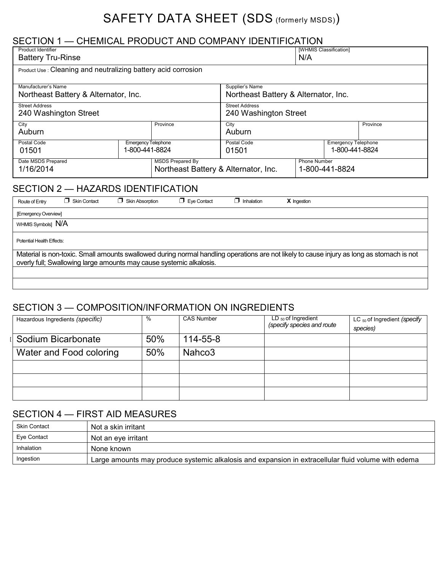## SAFETY DATA SHEET (SDS (formerly MSDS))

## SECTION 1 — CHEMICAL PRODUCT AND COMPANY IDENTIFICATION

| <b>Product Identifier</b><br><b>Battery Tru-Rinse</b>                                              |  |                                                                      |                                                         | [WHMIS Classification]<br>N/A |          |
|----------------------------------------------------------------------------------------------------|--|----------------------------------------------------------------------|---------------------------------------------------------|-------------------------------|----------|
| Product Use : Cleaning and neutralizing battery acid corrosion                                     |  |                                                                      |                                                         |                               |          |
| Manufacturer's Name<br>Northeast Battery & Alternator, Inc.                                        |  |                                                                      | Supplier's Name<br>Northeast Battery & Alternator, Inc. |                               |          |
| <b>Street Address</b><br>240 Washington Street                                                     |  | <b>Street Address</b><br>240 Washington Street                       |                                                         |                               |          |
| City<br>Province<br>Auburn                                                                         |  |                                                                      | City<br>Auburn                                          |                               | Province |
| Postal Code<br><b>Emergency Telephone</b><br>1-800-441-8824<br>01501                               |  | Postal Code<br><b>Emergency Telephone</b><br>1-800-441-8824<br>01501 |                                                         |                               |          |
| Date MSDS Prepared<br><b>MSDS Prepared By</b><br>1/16/2014<br>Northeast Battery & Alternator, Inc. |  |                                                                      | <b>Phone Number</b><br>1-800-441-8824                   |                               |          |

## SECTION 2 — HAZARDS IDENTIFICATION

| Route of Entry            | <b>T</b> Skin Contact | <b>Skin Absorption</b>                                              | Eye Contact<br>Π. | $\blacksquare$ Inhalation | <b>X</b> Ingestion                                                                                                                        |
|---------------------------|-----------------------|---------------------------------------------------------------------|-------------------|---------------------------|-------------------------------------------------------------------------------------------------------------------------------------------|
| [Emergency Overview]      |                       |                                                                     |                   |                           |                                                                                                                                           |
| WHMIS Symbols] N/A        |                       |                                                                     |                   |                           |                                                                                                                                           |
| Potential Health Effects: |                       |                                                                     |                   |                           |                                                                                                                                           |
|                           |                       | overly full; Swallowing large amounts may cause systemic alkalosis. |                   |                           | Material is non-toxic. Small amounts swallowed during normal handling operations are not likely to cause injury as long as stomach is not |
|                           |                       |                                                                     |                   |                           |                                                                                                                                           |
|                           |                       |                                                                     |                   |                           |                                                                                                                                           |

### SECTION 3 — COMPOSITION/INFORMATION ON INGREDIENTS

| Hazardous Ingredients (specific) | $\%$ | <b>CAS Number</b>  | $LD_{50}$ of Ingredient<br>(specify species and route | LC $_{50}$ of Ingredient (specify<br>species) |
|----------------------------------|------|--------------------|-------------------------------------------------------|-----------------------------------------------|
| Sodium Bicarbonate               | 50%  | $114 - 55 - 8$     |                                                       |                                               |
| Water and Food coloring          | 50%  | Nahco <sub>3</sub> |                                                       |                                               |
|                                  |      |                    |                                                       |                                               |
|                                  |      |                    |                                                       |                                               |
|                                  |      |                    |                                                       |                                               |

## SECTION 4 — FIRST AID MEASURES

| Skin Contact | Not a skin irritant                                                                                 |
|--------------|-----------------------------------------------------------------------------------------------------|
| Eye Contact  | Not an eve irritant                                                                                 |
| Inhalation   | None known                                                                                          |
| Ingestion    | Large amounts may produce systemic alkalosis and expansion in extracellular fluid volume with edema |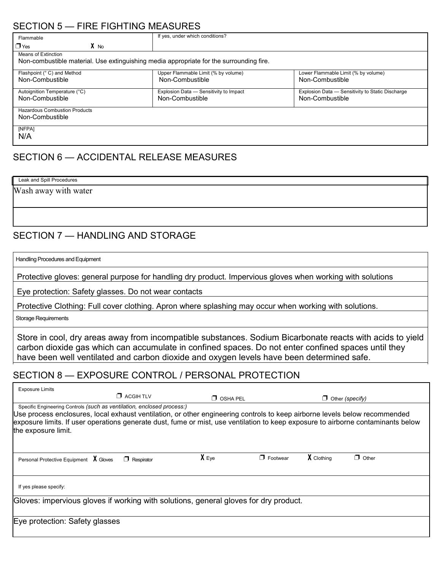## SECTION 5 — FIRE FIGHTING MEASURES

| Flammable                                                                                                      | If yes, under which conditions?                           |                                                                     |  |  |
|----------------------------------------------------------------------------------------------------------------|-----------------------------------------------------------|---------------------------------------------------------------------|--|--|
| $X$ No<br>$\Box$ Yes                                                                                           |                                                           |                                                                     |  |  |
| Means of Extinction<br>Non-combustible material. Use extinguishing media appropriate for the surrounding fire. |                                                           |                                                                     |  |  |
| Flashpoint (° C) and Method<br>Non-Combustible                                                                 | Upper Flammable Limit (% by volume)<br>Non-Combustible    | Lower Flammable Limit (% by volume)<br>Non-Combustible              |  |  |
| Autoignition Temperature (°C)<br>Non-Combustible                                                               | Explosion Data - Sensitivity to Impact<br>Non-Combustible | Explosion Data - Sensitivity to Static Discharge<br>Non-Combustible |  |  |
| <b>Hazardous Combustion Products</b><br>Non-Combustible                                                        |                                                           |                                                                     |  |  |
| [NFPA]<br>N/A                                                                                                  |                                                           |                                                                     |  |  |

## SECTION 6 — ACCIDENTAL RELEASE MEASURES

| Leak and Spill Procedures |  |  |
|---------------------------|--|--|
| Wash away with water      |  |  |
|                           |  |  |
|                           |  |  |

### SECTION 7 — HANDLING AND STORAGE

Handling Procedures and Equipment

Protective gloves: general purpose for handling dry product. Impervious gloves when working with solutions

Eye protection: Safety glasses. Do not wear contacts

Protective Clothing: Full cover clothing. Apron where splashing may occur when working with solutions.

Storage Requirements

Store in cool, dry areas away from incompatible substances. Sodium Bicarbonate reacts with acids to yield carbon dioxide gas which can accumulate in confined spaces. Do not enter confined spaces until they have been well ventilated and carbon dioxide and oxygen levels have been determined safe.

#### SECTION 8 — EXPOSURE CONTROL / PERSONAL PROTECTION

| <b>Exposure Limits</b>                                                                                                                                                                                                                                                                                                                                          |                   |                 |                 |            |                        |
|-----------------------------------------------------------------------------------------------------------------------------------------------------------------------------------------------------------------------------------------------------------------------------------------------------------------------------------------------------------------|-------------------|-----------------|-----------------|------------|------------------------|
|                                                                                                                                                                                                                                                                                                                                                                 | $\Box$ ACGIH TLV  | $\Box$ OSHA PEL |                 |            | $\Box$ Other (specify) |
| Specific Engineering Controls (such as ventilation, enclosed process:)<br>Use process enclosures, local exhaust ventilation, or other engineering controls to keep airborne levels below recommended<br>exposure limits. If user operations generate dust, fume or mist, use ventilation to keep exposure to airborne contaminants below<br>the exposure limit. |                   |                 |                 |            |                        |
| Personal Protective Equipment X Gloves                                                                                                                                                                                                                                                                                                                          | $\Box$ Respirator | $X_{Eye}$       | $\Box$ Footwear | X Clothing | $\Box$ Other           |
| If yes please specify:                                                                                                                                                                                                                                                                                                                                          |                   |                 |                 |            |                        |
| Gloves: impervious gloves if working with solutions, general gloves for dry product.                                                                                                                                                                                                                                                                            |                   |                 |                 |            |                        |
| Eye protection: Safety glasses                                                                                                                                                                                                                                                                                                                                  |                   |                 |                 |            |                        |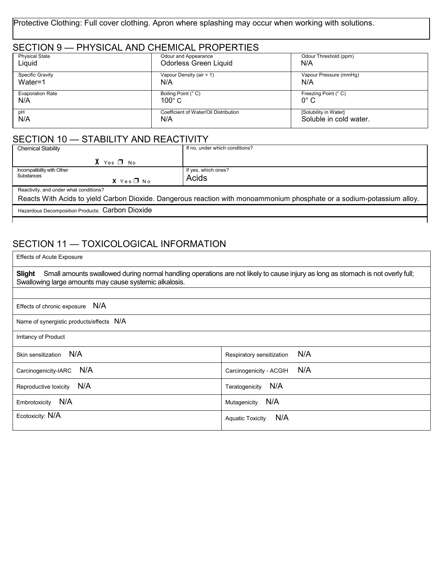Protective Clothing: Full cover clothing. Apron where splashing may occur when working with solutions.

| SECTION 9 - PHYSICAL AND CHEMICAL PROPERTIES |                                       |                        |  |  |
|----------------------------------------------|---------------------------------------|------------------------|--|--|
| <b>Physical State</b>                        | Odour and Appearance                  | Odour Threshold (ppm)  |  |  |
| Liquid                                       | <b>Odorless Green Liquid</b>          | N/A                    |  |  |
| Specific Gravity                             | Vapour Density (air = 1)              | Vapour Pressure (mmHq) |  |  |
| Water=1                                      | N/A                                   | N/A                    |  |  |
| <b>Evaporation Rate</b>                      | Boiling Point (° C)                   | Freezing Point (° C)   |  |  |
| N/A                                          | $100^{\circ}$ C                       | $0^{\circ}$ C          |  |  |
| рH                                           | Coefficient of Water/Oil Distribution | [Solubility in Water]  |  |  |
| N/A                                          | N/A                                   | Soluble in cold water. |  |  |

## SECTION 10 - STABILITY AND REACTIVITY

| <b>Chemical Stability</b>                                                                                              | If no, under which conditions? |  |
|------------------------------------------------------------------------------------------------------------------------|--------------------------------|--|
| $X$ Yes $\P$ No                                                                                                        |                                |  |
| Incompatibility with Other                                                                                             | If yes, which ones?            |  |
| <b>Substances</b><br>$X$ Yes $\neg$ No                                                                                 | Acids                          |  |
| Reactivity, and under what conditions?                                                                                 |                                |  |
| Reacts With Acids to yield Carbon Dioxide. Dangerous reaction with monoammonium phosphate or a sodium-potassium alloy. |                                |  |
| Hazardous Decomposition Products: Carbon Dioxide                                                                       |                                |  |
|                                                                                                                        |                                |  |

# SECTION 11 - TOXICOLOGICAL INFORMATION

| <b>Effects of Acute Exposure</b>                                                                                                                                                                           |                                  |  |
|------------------------------------------------------------------------------------------------------------------------------------------------------------------------------------------------------------|----------------------------------|--|
| Small amounts swallowed during normal handling operations are not likely to cause injury as long as stomach is not overly full;<br><b>Slight</b><br>Swallowing large amounts may cause systemic alkalosis. |                                  |  |
|                                                                                                                                                                                                            |                                  |  |
| N/A<br>Effects of chronic exposure                                                                                                                                                                         |                                  |  |
| Name of synergistic products/effects N/A                                                                                                                                                                   |                                  |  |
| Irritancy of Product                                                                                                                                                                                       |                                  |  |
| N/A<br>Skin sensitization                                                                                                                                                                                  | N/A<br>Respiratory sensitization |  |
| N/A<br>Carcinogenicity-IARC                                                                                                                                                                                | N/A<br>Carcinogenicity - ACGIH   |  |
| N/A<br>Reproductive toxicity                                                                                                                                                                               | N/A<br>Teratogenicity            |  |
| N/A<br>Embrotoxicity                                                                                                                                                                                       | N/A<br>Mutagenicity              |  |
| Ecotoxicity: N/A                                                                                                                                                                                           | N/A<br><b>Aquatic Toxicity</b>   |  |